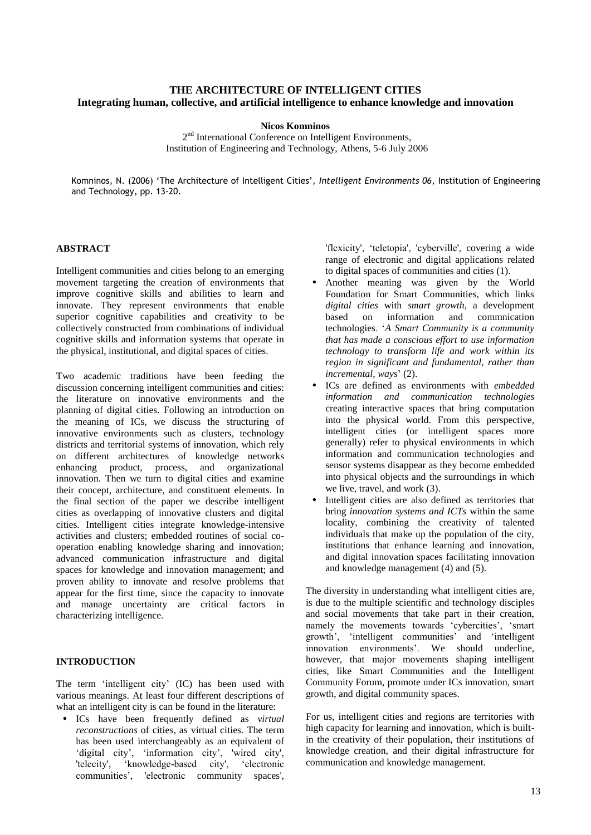# **THE ARCHITECTURE OF INTELLIGENT CITIES Integrating human, collective, and artificial intelligence to enhance knowledge and innovation**

#### **Nicos Komninos**

2<sup>nd</sup> International Conference on Intelligent Environments, Institution of Engineering and Technology, Athens, 5-6 July 2006

Komninos, N. (2006) 'The Architecture of Intelligent Cities', *Intelligent Environments 06*, Institution of Engineering and Technology, pp. 13-20.

### **ABSTRACT**

Intelligent communities and cities belong to an emerging movement targeting the creation of environments that improve cognitive skills and abilities to learn and innovate. They represent environments that enable superior cognitive capabilities and creativity to be collectively constructed from combinations of individual cognitive skills and information systems that operate in the physical, institutional, and digital spaces of cities.

Two academic traditions have been feeding the discussion concerning intelligent communities and cities: the literature on innovative environments and the planning of digital cities. Following an introduction on the meaning of ICs, we discuss the structuring of innovative environments such as clusters, technology districts and territorial systems of innovation, which rely on different architectures of knowledge networks enhancing product, process, and organizational innovation. Then we turn to digital cities and examine their concept, architecture, and constituent elements. In the final section of the paper we describe intelligent cities as overlapping of innovative clusters and digital cities. Intelligent cities integrate knowledge-intensive activities and clusters; embedded routines of social cooperation enabling knowledge sharing and innovation; advanced communication infrastructure and digital spaces for knowledge and innovation management; and proven ability to innovate and resolve problems that appear for the first time, since the capacity to innovate and manage uncertainty are critical factors in characterizing intelligence.

# **INTRODUCTION**

The term 'intelligent city' (IC) has been used with various meanings. At least four different descriptions of what an intelligent city is can be found in the literature:

• ICs have been frequently defined as *virtual reconstructions* of cities, as virtual cities. The term has been used interchangeably as an equivalent of 'digital city', 'information city', 'wired city', 'telecity', 'knowledge-based city', 'electronic communities', 'electronic community spaces',

'flexicity', 'teletopia', 'cyberville', covering a wide range of electronic and digital applications related to digital spaces of communities and cities (1).

- Another meaning was given by the World Foundation for Smart Communities, which links *digital cities* with *smart growth*, a development based on information and commnication technologies. '*A Smart Community is a community that has made a conscious effort to use information technology to transform life and work within its region in significant and fundamental, rather than incremental, ways*' (2).
- ICs are defined as environments with *embedded information and communication technologies* creating interactive spaces that bring computation into the physical world. From this perspective, intelligent cities (or intelligent spaces more generally) refer to physical environments in which information and communication technologies and sensor systems disappear as they become embedded into physical objects and the surroundings in which we live, travel, and work (3).
- Intelligent cities are also defined as territories that bring *innovation systems and ICTs* within the same locality, combining the creativity of talented individuals that make up the population of the city, institutions that enhance learning and innovation, and digital innovation spaces facilitating innovation and knowledge management (4) and (5).

The diversity in understanding what intelligent cities are, is due to the multiple scientific and technology disciples and social movements that take part in their creation, namely the movements towards 'cybercities', 'smart growth', 'intelligent communities' and 'intelligent innovation environments'. We should underline, however, that major movements shaping intelligent cities, like Smart Communities and the Intelligent Community Forum, promote under ICs innovation, smart growth, and digital community spaces.

For us, intelligent cities and regions are territories with high capacity for learning and innovation, which is builtin the creativity of their population, their institutions of knowledge creation, and their digital infrastructure for communication and knowledge management.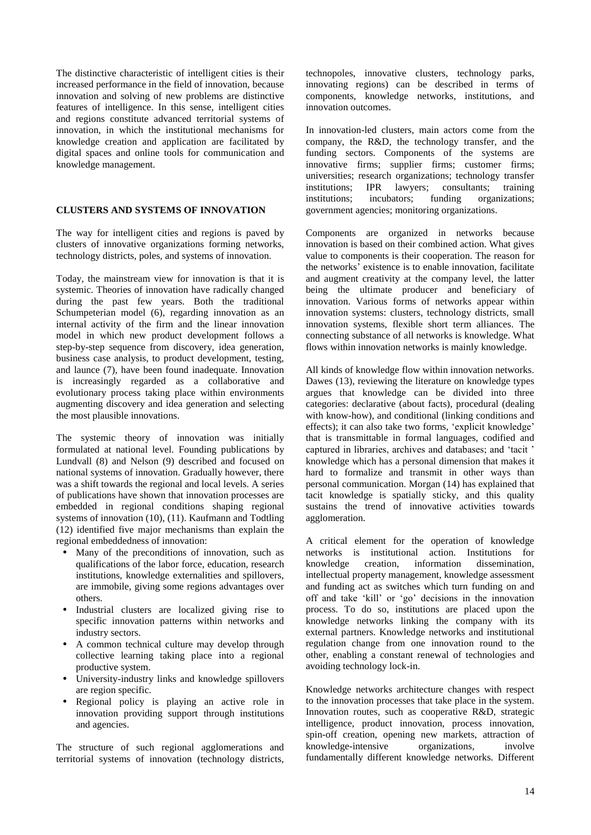The distinctive characteristic of intelligent cities is their increased performance in the field of innovation, because innovation and solving of new problems are distinctive features of intelligence. In this sense, intelligent cities and regions constitute advanced territorial systems of innovation, in which the institutional mechanisms for knowledge creation and application are facilitated by digital spaces and online tools for communication and knowledge management.

#### **CLUSTERS AND SYSTEMS OF INNOVATION**

The way for intelligent cities and regions is paved by clusters of innovative organizations forming networks, technology districts, poles, and systems of innovation.

Today, the mainstream view for innovation is that it is systemic. Theories of innovation have radically changed during the past few years. Both the traditional Schumpeterian model (6), regarding innovation as an internal activity of the firm and the linear innovation model in which new product development follows a step-by-step sequence from discovery, idea generation, business case analysis, to product development, testing, and launce (7), have been found inadequate. Innovation is increasingly regarded as a collaborative and evolutionary process taking place within environments augmenting discovery and idea generation and selecting the most plausible innovations.

The systemic theory of innovation was initially formulated at national level. Founding publications by Lundvall (8) and Nelson (9) described and focused on national systems of innovation. Gradually however, there was a shift towards the regional and local levels. A series of publications have shown that innovation processes are embedded in regional conditions shaping regional systems of innovation (10), (11). Kaufmann and Todtling (12) identified five major mechanisms than explain the regional embeddedness of innovation:

- Many of the preconditions of innovation, such as qualifications of the labor force, education, research institutions, knowledge externalities and spillovers, are immobile, giving some regions advantages over others.
- Industrial clusters are localized giving rise to specific innovation patterns within networks and industry sectors.
- A common technical culture may develop through collective learning taking place into a regional productive system.
- University-industry links and knowledge spillovers are region specific.
- Regional policy is playing an active role in innovation providing support through institutions and agencies.

The structure of such regional agglomerations and territorial systems of innovation (technology districts,

technopoles, innovative clusters, technology parks, innovating regions) can be described in terms of components, knowledge networks, institutions, and innovation outcomes.

In innovation-led clusters, main actors come from the company, the R&D, the technology transfer, and the funding sectors. Components of the systems are innovative firms; supplier firms; customer firms; universities; research organizations; technology transfer institutions; IPR lawyers; consultants; training institutions; incubators; funding organizations; government agencies; monitoring organizations.

Components are organized in networks because innovation is based on their combined action. What gives value to components is their cooperation. The reason for the networks' existence is to enable innovation, facilitate and augment creativity at the company level, the latter being the ultimate producer and beneficiary of innovation. Various forms of networks appear within innovation systems: clusters, technology districts, small innovation systems, flexible short term alliances. The connecting substance of all networks is knowledge. What flows within innovation networks is mainly knowledge.

All kinds of knowledge flow within innovation networks. Dawes (13), reviewing the literature on knowledge types argues that knowledge can be divided into three categories: declarative (about facts), procedural (dealing with know-how), and conditional (linking conditions and effects); it can also take two forms, 'explicit knowledge' that is transmittable in formal languages, codified and captured in libraries, archives and databases; and 'tacit ' knowledge which has a personal dimension that makes it hard to formalize and transmit in other ways than personal communication. Morgan (14) has explained that tacit knowledge is spatially sticky, and this quality sustains the trend of innovative activities towards agglomeration.

A critical element for the operation of knowledge networks is institutional action. Institutions for knowledge creation, information dissemination, intellectual property management, knowledge assessment and funding act as switches which turn funding on and off and take 'kill' or 'go' decisions in the innovation process. To do so, institutions are placed upon the knowledge networks linking the company with its external partners. Knowledge networks and institutional regulation change from one innovation round to the other, enabling a constant renewal of technologies and avoiding technology lock-in.

Knowledge networks architecture changes with respect to the innovation processes that take place in the system. Innovation routes, such as cooperative R&D, strategic intelligence, product innovation, process innovation, spin-off creation, opening new markets, attraction of knowledge-intensive organizations, involve fundamentally different knowledge networks. Different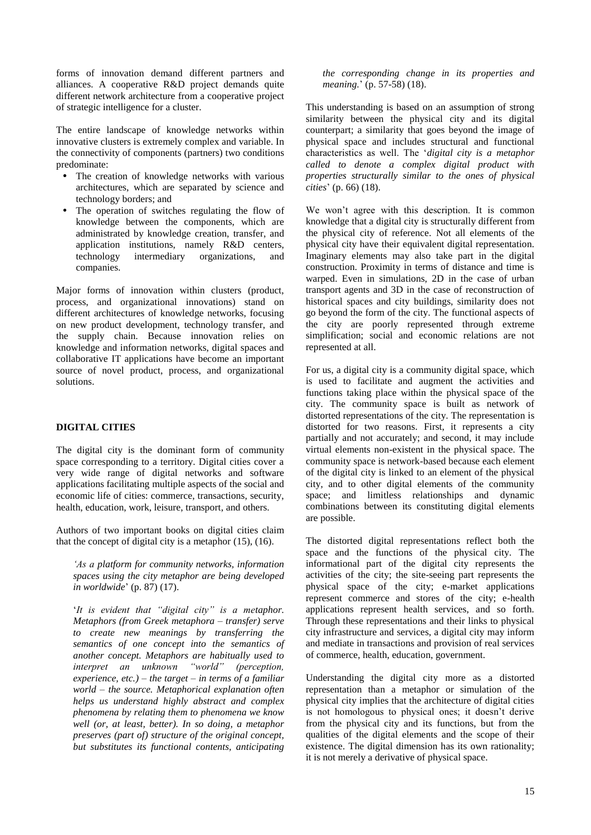forms of innovation demand different partners and alliances. A cooperative R&D project demands quite different network architecture from a cooperative project of strategic intelligence for a cluster.

The entire landscape of knowledge networks within innovative clusters is extremely complex and variable. In the connectivity of components (partners) two conditions predominate:

- The creation of knowledge networks with various architectures, which are separated by science and technology borders; and
- The operation of switches regulating the flow of knowledge between the components, which are administrated by knowledge creation, transfer, and application institutions, namely R&D centers, technology intermediary organizations, and companies.

Major forms of innovation within clusters (product, process, and organizational innovations) stand on different architectures of knowledge networks, focusing on new product development, technology transfer, and the supply chain. Because innovation relies on knowledge and information networks, digital spaces and collaborative IT applications have become an important source of novel product, process, and organizational solutions.

# **DIGITAL CITIES**

The digital city is the dominant form of community space corresponding to a territory. Digital cities cover a very wide range of digital networks and software applications facilitating multiple aspects of the social and economic life of cities: commerce, transactions, security, health, education, work, leisure, transport, and others.

Authors of two important books on digital cities claim that the concept of digital city is a metaphor (15), (16).

*‗As a platform for community networks, information spaces using the city metaphor are being developed in worldwide*' (p. 87) (17).

'It is evident that "digital city" is a metaphor. *Metaphors (from Greek metaphora – transfer) serve to create new meanings by transferring the semantics of one concept into the semantics of another concept. Metaphors are habitually used to interpret an unknown "world" (perception, experience, etc.) – the target – in terms of a familiar world – the source. Metaphorical explanation often helps us understand highly abstract and complex phenomena by relating them to phenomena we know well (or, at least, better). In so doing, a metaphor preserves (part of) structure of the original concept, but substitutes its functional contents, anticipating* 

*the corresponding change in its properties and meaning.*' (p. 57-58) (18).

This understanding is based on an assumption of strong similarity between the physical city and its digital counterpart; a similarity that goes beyond the image of physical space and includes structural and functional characteristics as well. The '*digital city is a metaphor called to denote a complex digital product with properties structurally similar to the ones of physical cities*' (p. 66) (18).

We won't agree with this description. It is common knowledge that a digital city is structurally different from the physical city of reference. Not all elements of the physical city have their equivalent digital representation. Imaginary elements may also take part in the digital construction. Proximity in terms of distance and time is warped. Even in simulations, 2D in the case of urban transport agents and 3D in the case of reconstruction of historical spaces and city buildings, similarity does not go beyond the form of the city. The functional aspects of the city are poorly represented through extreme simplification; social and economic relations are not represented at all.

For us, a digital city is a community digital space, which is used to facilitate and augment the activities and functions taking place within the physical space of the city. The community space is built as network of distorted representations of the city. The representation is distorted for two reasons. First, it represents a city partially and not accurately; and second, it may include virtual elements non-existent in the physical space. The community space is network-based because each element of the digital city is linked to an element of the physical city, and to other digital elements of the community space; and limitless relationships and dynamic combinations between its constituting digital elements are possible.

The distorted digital representations reflect both the space and the functions of the physical city. The informational part of the digital city represents the activities of the city; the site-seeing part represents the physical space of the city; e-market applications represent commerce and stores of the city; e-health applications represent health services, and so forth. Through these representations and their links to physical city infrastructure and services, a digital city may inform and mediate in transactions and provision of real services of commerce, health, education, government.

Understanding the digital city more as a distorted representation than a metaphor or simulation of the physical city implies that the architecture of digital cities is not homologous to physical ones; it doesn't derive from the physical city and its functions, but from the qualities of the digital elements and the scope of their existence. The digital dimension has its own rationality; it is not merely a derivative of physical space.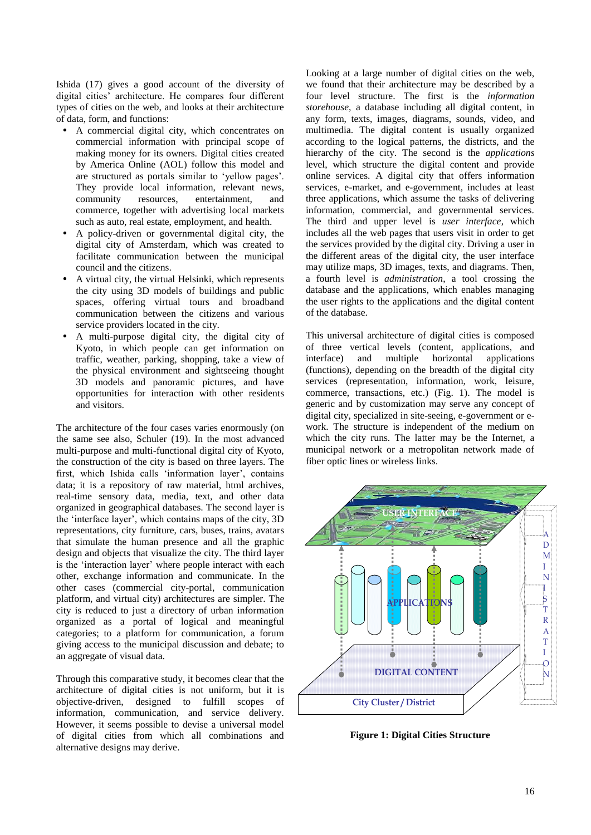Ishida (17) gives a good account of the diversity of digital cities' architecture. He compares four different types of cities on the web, and looks at their architecture of data, form, and functions:

- A commercial digital city, which concentrates on commercial information with principal scope of making money for its owners. Digital cities created by America Online (AOL) follow this model and are structured as portals similar to 'yellow pages'. They provide local information, relevant news, community resources, entertainment, and commerce, together with advertising local markets such as auto, real estate, employment, and health.
- A policy-driven or governmental digital city, the digital city of Amsterdam, which was created to facilitate communication between the municipal council and the citizens.
- A virtual city, the virtual Helsinki, which represents the city using 3D models of buildings and public spaces, offering virtual tours and broadband communication between the citizens and various service providers located in the city.
- A multi-purpose digital city, the digital city of Kyoto, in which people can get information on traffic, weather, parking, shopping, take a view of the physical environment and sightseeing thought 3D models and panoramic pictures, and have opportunities for interaction with other residents and visitors.

The architecture of the four cases varies enormously (on the same see also, Schuler (19). In the most advanced multi-purpose and multi-functional digital city of Kyoto, the construction of the city is based on three layers. The first, which Ishida calls 'information layer', contains data; it is a repository of raw material, html archives, real-time sensory data, media, text, and other data organized in geographical databases. The second layer is the 'interface layer', which contains maps of the city, 3D representations, city furniture, cars, buses, trains, avatars that simulate the human presence and all the graphic design and objects that visualize the city. The third layer is the 'interaction layer' where people interact with each other, exchange information and communicate. In the other cases (commercial city-portal, communication platform, and virtual city) architectures are simpler. The city is reduced to just a directory of urban information organized as a portal of logical and meaningful categories; to a platform for communication, a forum giving access to the municipal discussion and debate; to an aggregate of visual data.

Through this comparative study, it becomes clear that the architecture of digital cities is not uniform, but it is objective-driven, designed to fulfill scopes of information, communication, and service delivery. However, it seems possible to devise a universal model of digital cities from which all combinations and alternative designs may derive.

Looking at a large number of digital cities on the web, we found that their architecture may be described by a four level structure. The first is the *information storehouse*, a database including all digital content, in any form, texts, images, diagrams, sounds, video, and multimedia. The digital content is usually organized according to the logical patterns, the districts, and the hierarchy of the city. The second is the *applications* level, which structure the digital content and provide online services. A digital city that offers information services, e-market, and e-government, includes at least three applications, which assume the tasks of delivering information, commercial, and governmental services. The third and upper level is *user interface*, which includes all the web pages that users visit in order to get the services provided by the digital city. Driving a user in the different areas of the digital city, the user interface may utilize maps, 3D images, texts, and diagrams. Then, a fourth level is *administration*, a tool crossing the database and the applications, which enables managing the user rights to the applications and the digital content of the database.

This universal architecture of digital cities is composed of three vertical levels (content, applications, and interface) and multiple horizontal applications (functions), depending on the breadth of the digital city services (representation, information, work, leisure, commerce, transactions, etc.) (Fig. 1). The model is generic and by customization may serve any concept of digital city, specialized in site-seeing, e-government or ework. The structure is independent of the medium on which the city runs. The latter may be the Internet, a municipal network or a metropolitan network made of fiber optic lines or wireless links.



**Figure 1: Digital Cities Structure**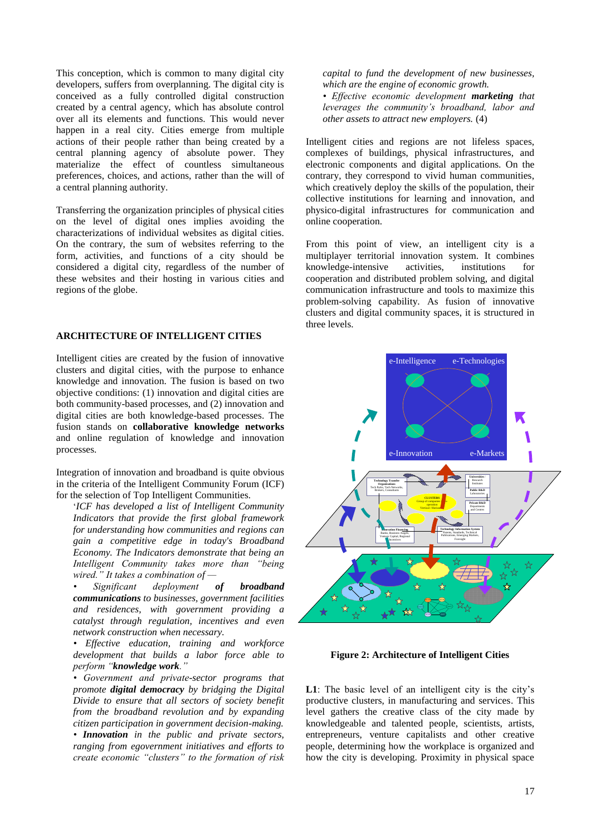This conception, which is common to many digital city developers, suffers from overplanning. The digital city is conceived as a fully controlled digital construction created by a central agency, which has absolute control over all its elements and functions. This would never happen in a real city. Cities emerge from multiple actions of their people rather than being created by a central planning agency of absolute power. They materialize the effect of countless simultaneous preferences, choices, and actions, rather than the will of a central planning authority.

Transferring the organization principles of physical cities on the level of digital ones implies avoiding the characterizations of individual websites as digital cities. On the contrary, the sum of websites referring to the form, activities, and functions of a city should be considered a digital city, regardless of the number of these websites and their hosting in various cities and regions of the globe.

### **ARCHITECTURE OF INTELLIGENT CITIES**

Intelligent cities are created by the fusion of innovative clusters and digital cities, with the purpose to enhance knowledge and innovation. The fusion is based on two objective conditions: (1) innovation and digital cities are both community-based processes, and (2) innovation and digital cities are both knowledge-based processes. The fusion stands on **collaborative knowledge networks** and online regulation of knowledge and innovation processes.

Integration of innovation and broadband is quite obvious in the criteria of the Intelligent Community Forum (ICF) for the selection of Top Intelligent Communities.

'*ICF has developed a list of Intelligent Community Indicators that provide the first global framework for understanding how communities and regions can gain a competitive edge in today's Broadband Economy. The Indicators demonstrate that being an Intelligent Community takes more than "being wired.‖ It takes a combination of —*

*• Significant deployment of broadband communications to businesses, government facilities and residences, with government providing a catalyst through regulation, incentives and even network construction when necessary.*

*• Effective education, training and workforce development that builds a labor force able to perform ―knowledge work.‖*

*• Government and private-sector programs that promote digital democracy by bridging the Digital Divide to ensure that all sectors of society benefit from the broadband revolution and by expanding citizen participation in government decision-making.*

*• Innovation in the public and private sectors, ranging from egovernment initiatives and efforts to create economic ―clusters‖ to the formation of risk*  *capital to fund the development of new businesses, which are the engine of economic growth.*

*• Effective economic development marketing that leverages the community's broadband, labor and other assets to attract new employers.* (4)

Intelligent cities and regions are not lifeless spaces, complexes of buildings, physical infrastructures, and electronic components and digital applications. On the contrary, they correspond to vivid human communities, which creatively deploy the skills of the population, their collective institutions for learning and innovation, and physico-digital infrastructures for communication and online cooperation.

From this point of view, an intelligent city is a multiplayer territorial innovation system. It combines knowledge-intensive activities, institutions for cooperation and distributed problem solving, and digital communication infrastructure and tools to maximize this problem-solving capability. As fusion of innovative clusters and digital community spaces, it is structured in three levels.



**Figure 2: Architecture of Intelligent Cities**

**L1**: The basic level of an intelligent city is the city's productive clusters, in manufacturing and services. This level gathers the creative class of the city made by knowledgeable and talented people, scientists, artists, entrepreneurs, venture capitalists and other creative people, determining how the workplace is organized and how the city is developing. Proximity in physical space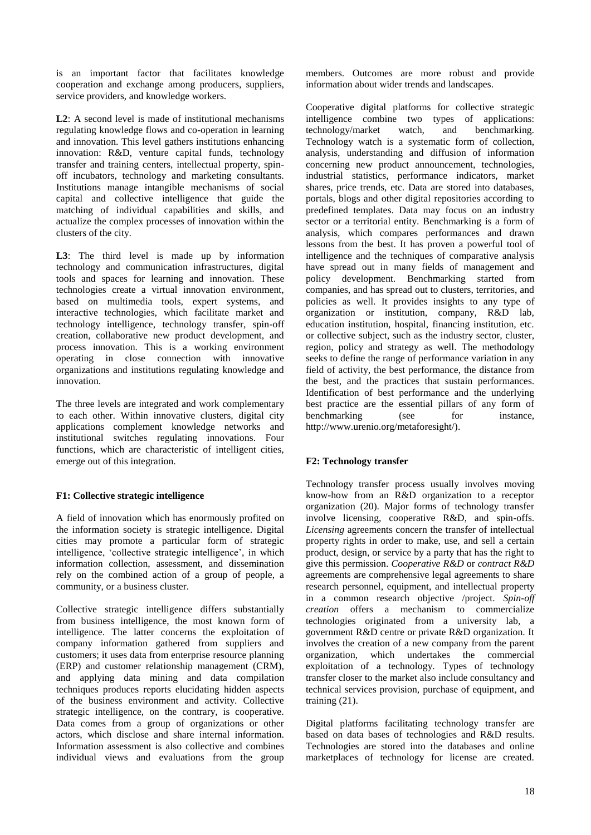is an important factor that facilitates knowledge cooperation and exchange among producers, suppliers, service providers, and knowledge workers.

**L2**: A second level is made of institutional mechanisms regulating knowledge flows and co-operation in learning and innovation. This level gathers institutions enhancing innovation: R&D, venture capital funds, technology transfer and training centers, intellectual property, spinoff incubators, technology and marketing consultants. Institutions manage intangible mechanisms of social capital and collective intelligence that guide the matching of individual capabilities and skills, and actualize the complex processes of innovation within the clusters of the city.

L3: The third level is made up by information technology and communication infrastructures, digital tools and spaces for learning and innovation. These technologies create a virtual innovation environment, based on multimedia tools, expert systems, and interactive technologies, which facilitate market and technology intelligence, technology transfer, spin-off creation, collaborative new product development, and process innovation. This is a working environment operating in close connection with innovative organizations and institutions regulating knowledge and innovation.

The three levels are integrated and work complementary to each other. Within innovative clusters, digital city applications complement knowledge networks and institutional switches regulating innovations. Four functions, which are characteristic of intelligent cities, emerge out of this integration.

# **F1: Collective strategic intelligence**

A field of innovation which has enormously profited on the information society is strategic intelligence. Digital cities may promote a particular form of strategic intelligence, 'collective strategic intelligence', in which information collection, assessment, and dissemination rely on the combined action of a group of people, a community, or a business cluster.

Collective strategic intelligence differs substantially from business intelligence, the most known form of intelligence. The latter concerns the exploitation of company information gathered from suppliers and customers; it uses data from enterprise resource planning (ERP) and customer relationship management (CRM), and applying data mining and data compilation techniques produces reports elucidating hidden aspects of the business environment and activity. Collective strategic intelligence, on the contrary, is cooperative. Data comes from a group of organizations or other actors, which disclose and share internal information. Information assessment is also collective and combines individual views and evaluations from the group members. Outcomes are more robust and provide information about wider trends and landscapes.

Cooperative digital platforms for collective strategic intelligence combine two types of applications: technology/market watch, and benchmarking. Technology watch is a systematic form of collection, analysis, understanding and diffusion of information concerning new product announcement, technologies, industrial statistics, performance indicators, market shares, price trends, etc. Data are stored into databases, portals, blogs and other digital repositories according to predefined templates. Data may focus on an industry sector or a territorial entity. Benchmarking is a form of analysis, which compares performances and drawn lessons from the best. It has proven a powerful tool of intelligence and the techniques of comparative analysis have spread out in many fields of management and policy development. Benchmarking started from companies, and has spread out to clusters, territories, and policies as well. It provides insights to any type of organization or institution, company, R&D lab, education institution, hospital, financing institution, etc. or collective subject, such as the industry sector, cluster, region, policy and strategy as well. The methodology seeks to define the range of performance variation in any field of activity, the best performance, the distance from the best, and the practices that sustain performances. Identification of best performance and the underlying best practice are the essential pillars of any form of benchmarking (see for instance, http://www.urenio.org/metaforesight/).

# **F2: Technology transfer**

Technology transfer process usually involves moving know-how from an R&D organization to a receptor organization (20). Major forms of technology transfer involve licensing, cooperative R&D, and spin-offs. *Licensing* agreements concern the transfer of intellectual property rights in order to make, use, and sell a certain product, design, or service by a party that has the right to give this permission. *Cooperative R&D* or *contract R&D* agreements are comprehensive legal agreements to share research personnel, equipment, and intellectual property in a common research objective /project. *Spin-off creation* offers a mechanism to commercialize technologies originated from a university lab, a government R&D centre or private R&D organization. It involves the creation of a new company from the parent organization, which undertakes the commercial exploitation of a technology. Types of technology transfer closer to the market also include consultancy and technical services provision, purchase of equipment, and training (21).

Digital platforms facilitating technology transfer are based on data bases of technologies and R&D results. Technologies are stored into the databases and online marketplaces of technology for license are created.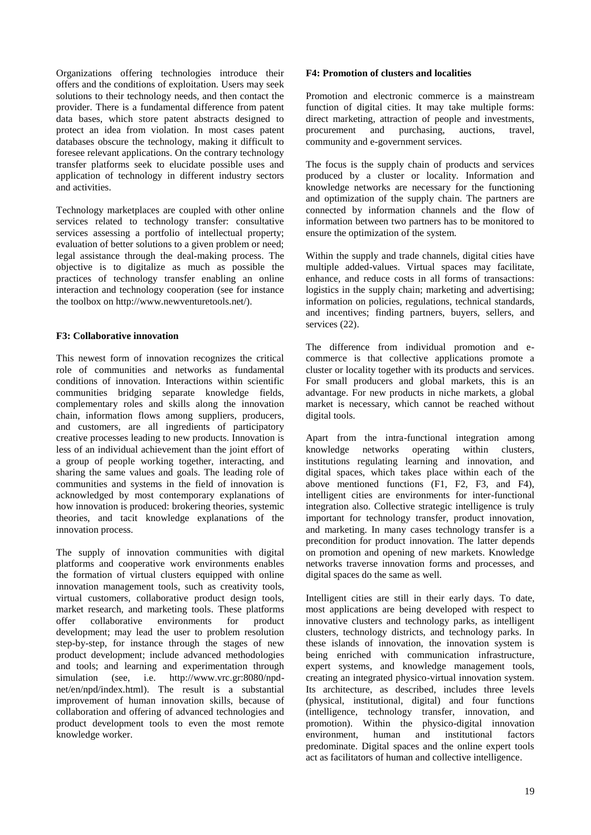Organizations offering technologies introduce their offers and the conditions of exploitation. Users may seek solutions to their technology needs, and then contact the provider. There is a fundamental difference from patent data bases, which store patent abstracts designed to protect an idea from violation. In most cases patent databases obscure the technology, making it difficult to foresee relevant applications. On the contrary technology transfer platforms seek to elucidate possible uses and application of technology in different industry sectors and activities.

Technology marketplaces are coupled with other online services related to technology transfer: consultative services assessing a portfolio of intellectual property; evaluation of better solutions to a given problem or need; legal assistance through the deal-making process. The objective is to digitalize as much as possible the practices of technology transfer enabling an online interaction and technology cooperation (see for instance the toolbox on http://www.newventuretools.net/).

# **F3: Collaborative innovation**

This newest form of innovation recognizes the critical role of communities and networks as fundamental conditions of innovation. Interactions within scientific communities bridging separate knowledge fields, complementary roles and skills along the innovation chain, information flows among suppliers, producers, and customers, are all ingredients of participatory creative processes leading to new products. Innovation is less of an individual achievement than the joint effort of a group of people working together, interacting, and sharing the same values and goals. The leading role of communities and systems in the field of innovation is acknowledged by most contemporary explanations of how innovation is produced: brokering theories, systemic theories, and tacit knowledge explanations of the innovation process.

The supply of innovation communities with digital platforms and cooperative work environments enables the formation of virtual clusters equipped with online innovation management tools, such as creativity tools, virtual customers, collaborative product design tools, market research, and marketing tools. These platforms offer collaborative environments for product development; may lead the user to problem resolution step-by-step, for instance through the stages of new product development; include advanced methodologies and tools; and learning and experimentation through simulation (see, i.e. http://www.vrc.gr:8080/npdnet/en/npd/index.html). The result is a substantial improvement of human innovation skills, because of collaboration and offering of advanced technologies and product development tools to even the most remote knowledge worker.

### **F4: Promotion of clusters and localities**

Promotion and electronic commerce is a mainstream function of digital cities. It may take multiple forms: direct marketing, attraction of people and investments, procurement and purchasing, auctions, travel, community and e-government services.

The focus is the supply chain of products and services produced by a cluster or locality. Information and knowledge networks are necessary for the functioning and optimization of the supply chain. The partners are connected by information channels and the flow of information between two partners has to be monitored to ensure the optimization of the system.

Within the supply and trade channels, digital cities have multiple added-values. Virtual spaces may facilitate, enhance, and reduce costs in all forms of transactions: logistics in the supply chain; marketing and advertising; information on policies, regulations, technical standards, and incentives; finding partners, buyers, sellers, and services (22).

The difference from individual promotion and ecommerce is that collective applications promote a cluster or locality together with its products and services. For small producers and global markets, this is an advantage. For new products in niche markets, a global market is necessary, which cannot be reached without digital tools.

Apart from the intra-functional integration among knowledge networks operating within clusters, institutions regulating learning and innovation, and digital spaces, which takes place within each of the above mentioned functions (F1, F2, F3, and F4), intelligent cities are environments for inter-functional integration also. Collective strategic intelligence is truly important for technology transfer, product innovation, and marketing. In many cases technology transfer is a precondition for product innovation. The latter depends on promotion and opening of new markets. Knowledge networks traverse innovation forms and processes, and digital spaces do the same as well.

Intelligent cities are still in their early days. To date, most applications are being developed with respect to innovative clusters and technology parks, as intelligent clusters, technology districts, and technology parks. In these islands of innovation, the innovation system is being enriched with communication infrastructure, expert systems, and knowledge management tools, creating an integrated physico-virtual innovation system. Its architecture, as described, includes three levels (physical, institutional, digital) and four functions (intelligence, technology transfer, innovation, and promotion). Within the physico-digital innovation environment, human and institutional factors predominate. Digital spaces and the online expert tools act as facilitators of human and collective intelligence.